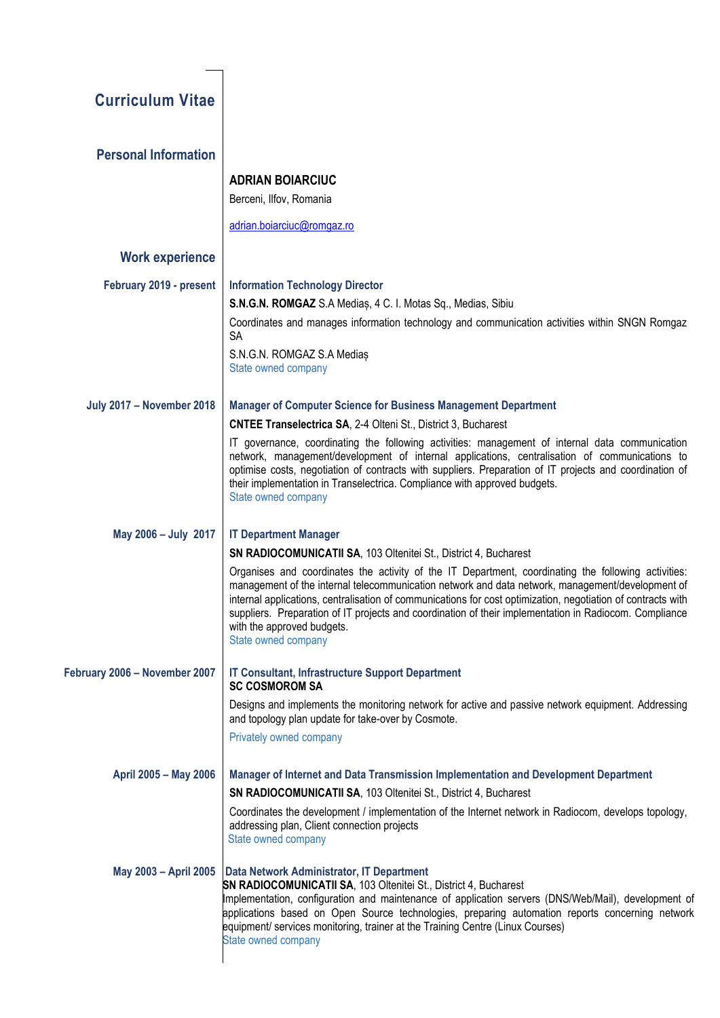| <b>Curriculum Vitae</b>          |                                                                                                                                                                                                                                                                                                                                                                                                                                                                                        |
|----------------------------------|----------------------------------------------------------------------------------------------------------------------------------------------------------------------------------------------------------------------------------------------------------------------------------------------------------------------------------------------------------------------------------------------------------------------------------------------------------------------------------------|
| <b>Personal Information</b>      |                                                                                                                                                                                                                                                                                                                                                                                                                                                                                        |
|                                  | <b>ADRIAN BOIARCIUC</b>                                                                                                                                                                                                                                                                                                                                                                                                                                                                |
|                                  | Berceni, Ilfov, Romania                                                                                                                                                                                                                                                                                                                                                                                                                                                                |
|                                  | adrian.boiarciuc@romgaz.ro                                                                                                                                                                                                                                                                                                                                                                                                                                                             |
| <b>Work experience</b>           |                                                                                                                                                                                                                                                                                                                                                                                                                                                                                        |
| February 2019 - present          | <b>Information Technology Director</b>                                                                                                                                                                                                                                                                                                                                                                                                                                                 |
|                                  | S.N.G.N. ROMGAZ S.A Medias, 4 C. I. Motas Sq., Medias, Sibiu                                                                                                                                                                                                                                                                                                                                                                                                                           |
|                                  | Coordinates and manages information technology and communication activities within SNGN Romgaz<br><b>SA</b>                                                                                                                                                                                                                                                                                                                                                                            |
|                                  | S.N.G.N. ROMGAZ S.A Medias                                                                                                                                                                                                                                                                                                                                                                                                                                                             |
|                                  | State owned company                                                                                                                                                                                                                                                                                                                                                                                                                                                                    |
| <b>July 2017 - November 2018</b> | <b>Manager of Computer Science for Business Management Department</b>                                                                                                                                                                                                                                                                                                                                                                                                                  |
|                                  | <b>CNTEE Transelectrica SA, 2-4 Olteni St., District 3, Bucharest</b>                                                                                                                                                                                                                                                                                                                                                                                                                  |
|                                  | IT governance, coordinating the following activities: management of internal data communication<br>network, management/development of internal applications, centralisation of communications to<br>optimise costs, negotiation of contracts with suppliers. Preparation of IT projects and coordination of<br>their implementation in Transelectrica. Compliance with approved budgets.<br>State owned company                                                                        |
| May 2006 - July 2017             | <b>IT Department Manager</b>                                                                                                                                                                                                                                                                                                                                                                                                                                                           |
|                                  | SN RADIOCOMUNICATII SA, 103 Oltenitei St., District 4, Bucharest                                                                                                                                                                                                                                                                                                                                                                                                                       |
|                                  | Organises and coordinates the activity of the IT Department, coordinating the following activities:<br>management of the internal telecommunication network and data network, management/development of<br>internal applications, centralisation of communications for cost optimization, negotiation of contracts with<br>suppliers. Preparation of IT projects and coordination of their implementation in Radiocom. Compliance<br>with the approved budgets.<br>State owned company |
| February 2006 - November 2007    | <b>IT Consultant, Infrastructure Support Department</b><br><b>SC COSMOROM SA</b>                                                                                                                                                                                                                                                                                                                                                                                                       |
|                                  | Designs and implements the monitoring network for active and passive network equipment. Addressing<br>and topology plan update for take-over by Cosmote.                                                                                                                                                                                                                                                                                                                               |
|                                  | Privately owned company                                                                                                                                                                                                                                                                                                                                                                                                                                                                |
| April 2005 - May 2006            | Manager of Internet and Data Transmission Implementation and Development Department<br>SN RADIOCOMUNICATII SA, 103 Oltenitei St., District 4, Bucharest                                                                                                                                                                                                                                                                                                                                |
|                                  | Coordinates the development / implementation of the Internet network in Radiocom, develops topology,<br>addressing plan, Client connection projects<br>State owned company                                                                                                                                                                                                                                                                                                             |
| May 2003 - April 2005            | Data Network Administrator, IT Department<br>SN RADIOCOMUNICATII SA, 103 Oltenitei St., District 4, Bucharest<br>Implementation, configuration and maintenance of application servers (DNS/Web/Mail), development of<br>applications based on Open Source technologies, preparing automation reports concerning network<br>equipment/ services monitoring, trainer at the Training Centre (Linux Courses)<br>State owned company                                                       |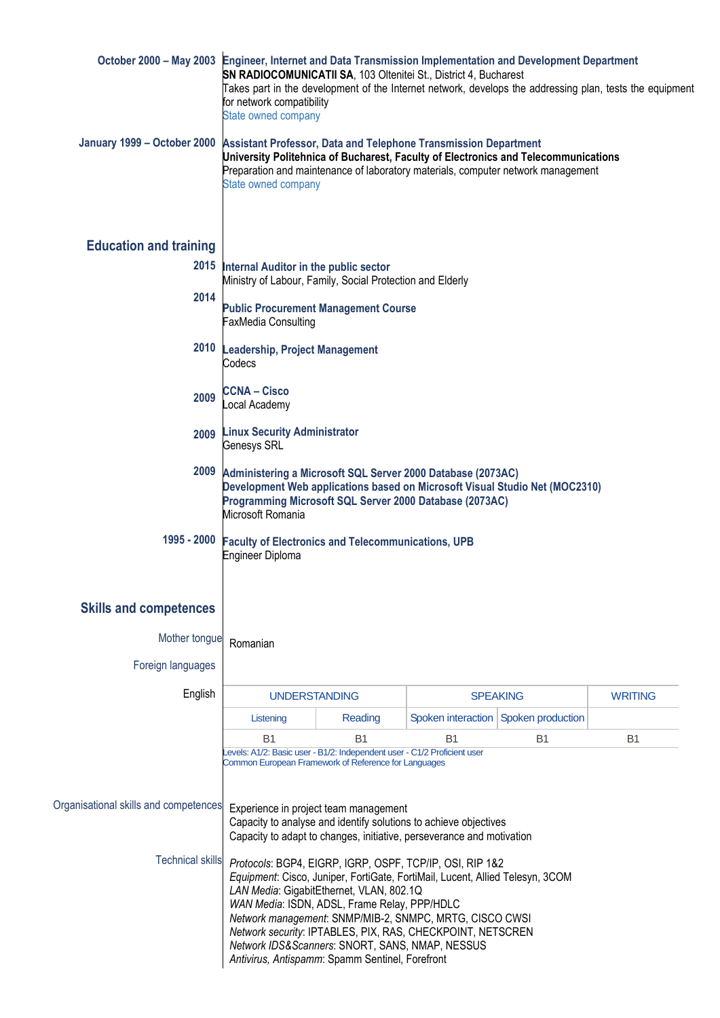| October 2000 - May 2003               | Engineer, Internet and Data Transmission Implementation and Development Department<br><b>SN RADIOCOMUNICATII SA, 103 Oltenitei St., District 4, Bucharest</b><br>Takes part in the development of the Internet network, develops the addressing plan, tests the equipment<br>for network compatibility<br>State owned company                                                                                                                                        |                                      |           |                |  |  |
|---------------------------------------|----------------------------------------------------------------------------------------------------------------------------------------------------------------------------------------------------------------------------------------------------------------------------------------------------------------------------------------------------------------------------------------------------------------------------------------------------------------------|--------------------------------------|-----------|----------------|--|--|
| January 1999 – October 2000           | Assistant Professor, Data and Telephone Transmission Department<br>University Politehnica of Bucharest, Faculty of Electronics and Telecommunications<br>Preparation and maintenance of laboratory materials, computer network management<br>State owned company                                                                                                                                                                                                     |                                      |           |                |  |  |
| <b>Education and training</b>         | 2015 Internal Auditor in the public sector                                                                                                                                                                                                                                                                                                                                                                                                                           |                                      |           |                |  |  |
| 2014                                  | Ministry of Labour, Family, Social Protection and Elderly<br><b>Public Procurement Management Course</b><br><b>FaxMedia Consulting</b>                                                                                                                                                                                                                                                                                                                               |                                      |           |                |  |  |
|                                       | 2010 Leadership, Project Management<br>Codecs                                                                                                                                                                                                                                                                                                                                                                                                                        |                                      |           |                |  |  |
| 2009                                  | <b>CCNA - Cisco</b><br>Local Academy                                                                                                                                                                                                                                                                                                                                                                                                                                 |                                      |           |                |  |  |
| 2009                                  | <b>Linux Security Administrator</b><br>Genesys SRL                                                                                                                                                                                                                                                                                                                                                                                                                   |                                      |           |                |  |  |
| 2009                                  | Administering a Microsoft SQL Server 2000 Database (2073AC)<br>Development Web applications based on Microsoft Visual Studio Net (MOC2310)<br>Programming Microsoft SQL Server 2000 Database (2073AC)<br>Microsoft Romania                                                                                                                                                                                                                                           |                                      |           |                |  |  |
| 1995 - 2000                           | <b>Faculty of Electronics and Telecommunications, UPB</b><br>Engineer Diploma                                                                                                                                                                                                                                                                                                                                                                                        |                                      |           |                |  |  |
| <b>Skills and competences</b>         |                                                                                                                                                                                                                                                                                                                                                                                                                                                                      |                                      |           |                |  |  |
| Mother tongue                         | Romanian                                                                                                                                                                                                                                                                                                                                                                                                                                                             |                                      |           |                |  |  |
| Foreign languages<br>English          | <b>UNDERSTANDING</b>                                                                                                                                                                                                                                                                                                                                                                                                                                                 | <b>SPEAKING</b>                      |           | <b>WRITING</b> |  |  |
|                                       | Reading<br>Listening                                                                                                                                                                                                                                                                                                                                                                                                                                                 | Spoken interaction Spoken production |           |                |  |  |
|                                       | <b>B1</b><br><b>B1</b>                                                                                                                                                                                                                                                                                                                                                                                                                                               | <b>B1</b>                            | <b>B1</b> | <b>B1</b>      |  |  |
|                                       | Levels: A1/2: Basic user - B1/2: Independent user - C1/2 Proficient user<br>Common European Framework of Reference for Languages                                                                                                                                                                                                                                                                                                                                     |                                      |           |                |  |  |
| Organisational skills and competences | Experience in project team management<br>Capacity to analyse and identify solutions to achieve objectives<br>Capacity to adapt to changes, initiative, perseverance and motivation                                                                                                                                                                                                                                                                                   |                                      |           |                |  |  |
| <b>Technical skills</b>               | Protocols: BGP4, EIGRP, IGRP, OSPF, TCP/IP, OSI, RIP 1&2<br>Equipment: Cisco, Juniper, FortiGate, FortiMail, Lucent, Allied Telesyn, 3COM<br>LAN Media: GigabitEthernet, VLAN, 802.1Q<br>WAN Media: ISDN, ADSL, Frame Relay, PPP/HDLC<br>Network management: SNMP/MIB-2, SNMPC, MRTG, CISCO CWSI<br>Network security: IPTABLES, PIX, RAS, CHECKPOINT, NETSCREN<br>Network IDS&Scanners: SNORT, SANS, NMAP, NESSUS<br>Antivirus, Antispamm: Spamm Sentinel, Forefront |                                      |           |                |  |  |